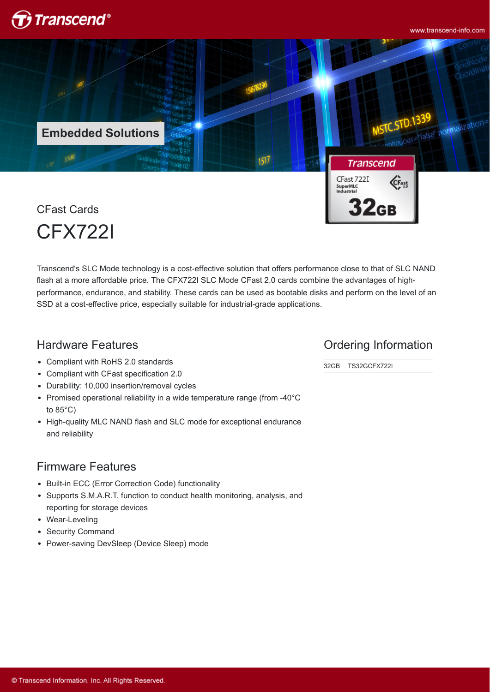

www.transcend-info.com



CFX722I

Transcend's SLC Mode technology is a cost-effective solution that offers performance close to that of SLC NAND flash at a more affordable price. The CFX722I SLC Mode CFast 2.0 cards combine the advantages of highperformance, endurance, and stability. These cards can be used as bootable disks and perform on the level of an SSD at a cost-effective price, especially suitable for industrial-grade applications.

### Hardware Features

- Compliant with RoHS 2.0 standards
- Compliant with CFast specification 2.0
- Durability: 10,000 insertion/removal cycles
- Promised operational reliability in a wide temperature range (from -40°C to 85°C)
- High-quality MLC NAND flash and SLC mode for exceptional endurance and reliability

#### Firmware Features

- Built-in ECC (Error Correction Code) functionality
- Supports S.M.A.R.T. function to conduct health monitoring, analysis, and reporting for storage devices
- Wear-Leveling
- Security Command
- Power-saving DevSleep (Device Sleep) mode

#### Ordering Information

32GB TS32GCFX722I